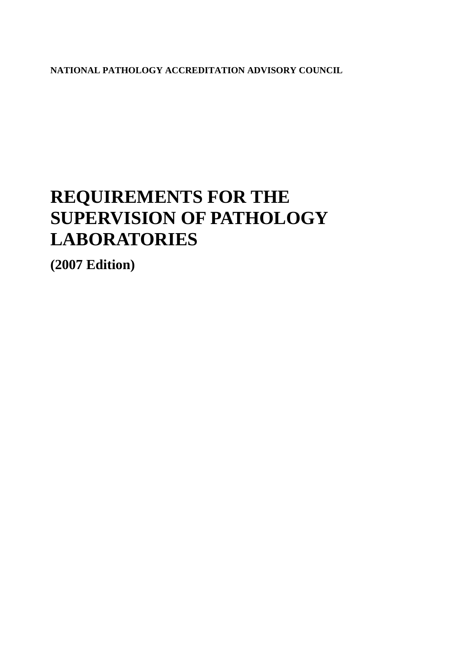**NATIONAL PATHOLOGY ACCREDITATION ADVISORY COUNCIL** 

# **REQUIREMENTS FOR THE SUPERVISION OF PATHOLOGY LABORATORIES**

**(2007 Edition)**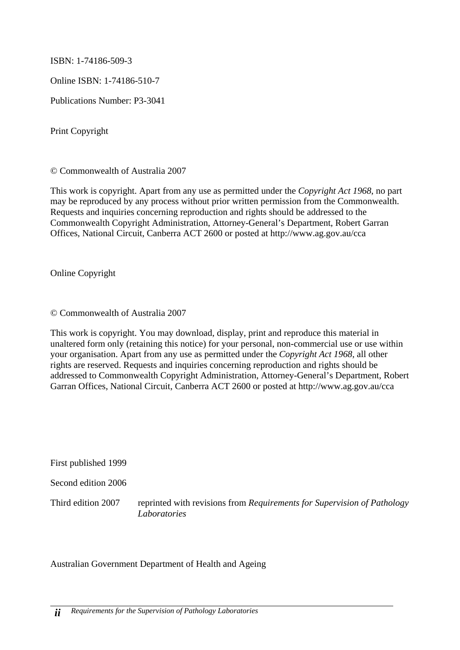ISBN: 1-74186-509-3

Online ISBN: 1-74186-510-7

Publications Number: P3-3041

Print Copyright

© Commonwealth of Australia 2007

This work is copyright. Apart from any use as permitted under the *Copyright Act 1968*, no part may be reproduced by any process without prior written permission from the Commonwealth. Requests and inquiries concerning reproduction and rights should be addressed to the Commonwealth Copyright Administration, Attorney-General's Department, Robert Garran Offices, National Circuit, Canberra ACT 2600 or posted at http://www.ag.gov.au/cca

Online Copyright

© Commonwealth of Australia 2007

This work is copyright. You may download, display, print and reproduce this material in unaltered form only (retaining this notice) for your personal, non-commercial use or use within your organisation. Apart from any use as permitted under the *Copyright Act 1968*, all other rights are reserved. Requests and inquiries concerning reproduction and rights should be addressed to Commonwealth Copyright Administration, Attorney-General's Department, Robert Garran Offices, National Circuit, Canberra ACT 2600 or posted at http://www.ag.gov.au/cca

First published 1999

Second edition 2006

Third edition 2007 reprinted with revisions from *Requirements for Supervision of Pathology Laboratories*

Australian Government Department of Health and Ageing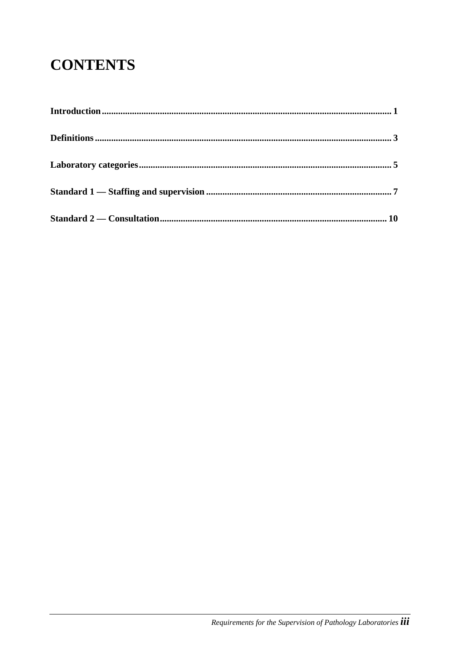# **CONTENTS**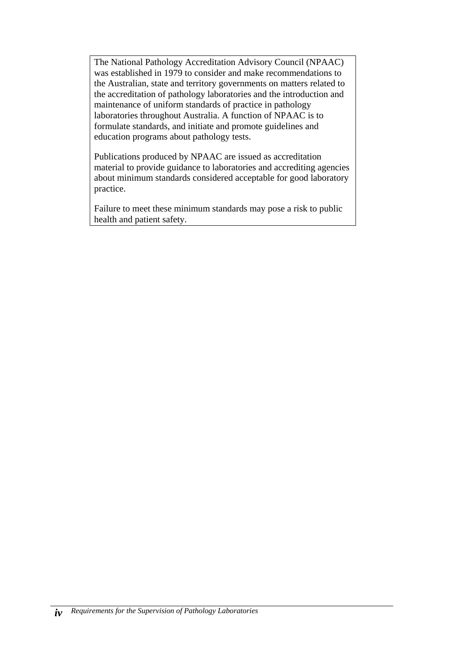The National Pathology Accreditation Advisory Council (NPAAC) was established in 1979 to consider and make recommendations to the Australian, state and territory governments on matters related to the accreditation of pathology laboratories and the introduction and maintenance of uniform standards of practice in pathology laboratories throughout Australia. A function of NPAAC is to formulate standards, and initiate and promote guidelines and education programs about pathology tests.

Publications produced by NPAAC are issued as accreditation material to provide guidance to laboratories and accrediting agencies about minimum standards considered acceptable for good laboratory practice.

Failure to meet these minimum standards may pose a risk to public health and patient safety.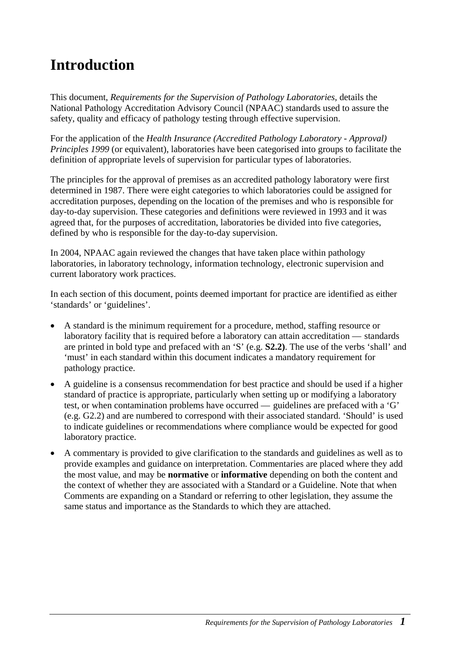## <span id="page-4-0"></span>**Introduction**

This document, *Requirements for the Supervision of Pathology Laboratories*, details the National Pathology Accreditation Advisory Council (NPAAC) standards used to assure the safety, quality and efficacy of pathology testing through effective supervision.

For the application of the *Health Insurance (Accredited Pathology Laboratory - Approval) Principles 1999* (or equivalent), laboratories have been categorised into groups to facilitate the definition of appropriate levels of supervision for particular types of laboratories.

The principles for the approval of premises as an accredited pathology laboratory were first determined in 1987. There were eight categories to which laboratories could be assigned for accreditation purposes, depending on the location of the premises and who is responsible for day-to-day supervision. These categories and definitions were reviewed in 1993 and it was agreed that, for the purposes of accreditation, laboratories be divided into five categories, defined by who is responsible for the day-to-day supervision.

In 2004, NPAAC again reviewed the changes that have taken place within pathology laboratories, in laboratory technology, information technology, electronic supervision and current laboratory work practices.

In each section of this document, points deemed important for practice are identified as either 'standards' or 'guidelines'.

- A standard is the minimum requirement for a procedure, method, staffing resource or laboratory facility that is required before a laboratory can attain accreditation — standards are printed in bold type and prefaced with an 'S' (e.g. **S2.2)**. The use of the verbs 'shall' and 'must' in each standard within this document indicates a mandatory requirement for pathology practice.
- A guideline is a consensus recommendation for best practice and should be used if a higher standard of practice is appropriate, particularly when setting up or modifying a laboratory test, or when contamination problems have occurred — guidelines are prefaced with a 'G' (e.g. G2.2) and are numbered to correspond with their associated standard. 'Should' is used to indicate guidelines or recommendations where compliance would be expected for good laboratory practice.
- A commentary is provided to give clarification to the standards and guidelines as well as to provide examples and guidance on interpretation. Commentaries are placed where they add the most value, and may be **normative** or **informative** depending on both the content and the context of whether they are associated with a Standard or a Guideline. Note that when Comments are expanding on a Standard or referring to other legislation, they assume the same status and importance as the Standards to which they are attached.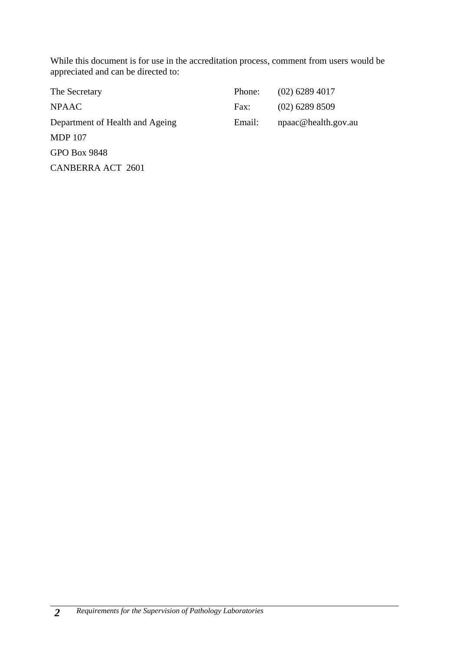While this document is for use in the accreditation process, comment from users would be appreciated and can be directed to:

| The Secretary                   | Phone: | $(02)$ 6289 4017    |
|---------------------------------|--------|---------------------|
| <b>NPAAC</b>                    | Fax:   | $(02)$ 6289 8509    |
| Department of Health and Ageing | Email: | npaac@health.gov.au |
| <b>MDP</b> 107                  |        |                     |
| <b>GPO Box 9848</b>             |        |                     |
| <b>CANBERRA ACT 2601</b>        |        |                     |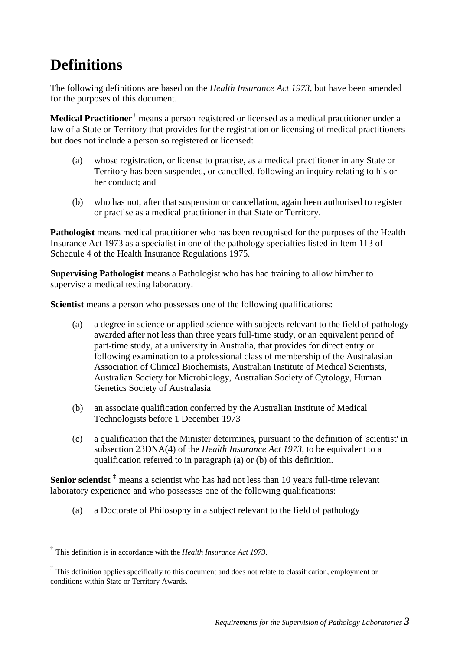## <span id="page-6-0"></span>**Definitions**

The following definitions are based on the *Health Insurance Act 1973*, but have been amended for the purposes of this document.

**Medical Practitioner[†](#page-6-1)** means a person registered or licensed as a medical practitioner under a law of a State or Territory that provides for the registration or licensing of medical practitioners but does not include a person so registered or licensed:

- (a) whose registration, or license to practise, as a medical practitioner in any State or Territory has been suspended, or cancelled, following an inquiry relating to his or her conduct; and
- (b) who has not, after that suspension or cancellation, again been authorised to register or practise as a medical practitioner in that State or Territory.

**Pathologist** means medical practitioner who has been recognised for the purposes of the Health Insurance Act 1973 as a specialist in one of the pathology specialties listed in Item 113 of Schedule 4 of the Health Insurance Regulations 1975.

**Supervising Pathologist** means a Pathologist who has had training to allow him/her to supervise a medical testing laboratory.

**Scientist** means a person who possesses one of the following qualifications:

- (a) a degree in science or applied science with subjects relevant to the field of pathology awarded after not less than three years full-time study, or an equivalent period of part-time study, at a university in Australia, that provides for direct entry or following examination to a professional class of membership of the Australasian Association of Clinical Biochemists, Australian Institute of Medical Scientists, Australian Society for Microbiology, Australian Society of Cytology, Human Genetics Society of Australasia
- (b) an associate qualification conferred by the Australian Institute of Medical Technologists before 1 December 1973
- (c) a qualification that the Minister determines, pursuant to the definition of 'scientist' in subsection 23DNA(4) of the *Health Insurance Act 1973*, to be equivalent to a qualification referred to in paragraph (a) or (b) of this definition.

**Senior scientist [‡](#page-6-2)** means a scientist who has had not less than 10 years full-time relevant laboratory experience and who possesses one of the following qualifications:

(a) a Doctorate of Philosophy in a subject relevant to the field of pathology

1

<span id="page-6-1"></span>**<sup>†</sup>** This definition is in accordance with the *Health Insurance Act 1973*.

<span id="page-6-2"></span><sup>&</sup>lt;sup>‡</sup> This definition applies specifically to this document and does not relate to classification, employment or conditions within State or Territory Awards.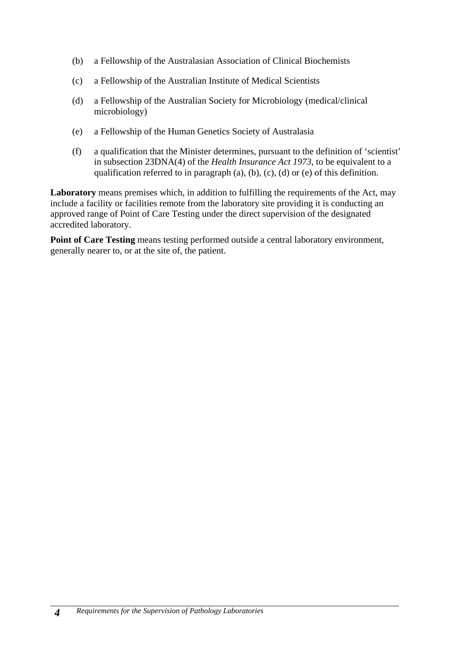- (b) a Fellowship of the Australasian Association of Clinical Biochemists
- (c) a Fellowship of the Australian Institute of Medical Scientists
- (d) a Fellowship of the Australian Society for Microbiology (medical/clinical microbiology)
- (e) a Fellowship of the Human Genetics Society of Australasia
- (f) a qualification that the Minister determines, pursuant to the definition of 'scientist' in subsection 23DNA(4) of the *Health Insurance Act 1973*, to be equivalent to a qualification referred to in paragraph (a), (b), (c), (d) or (e) of this definition.

Laboratory means premises which, in addition to fulfilling the requirements of the Act, may include a facility or facilities remote from the laboratory site providing it is conducting an approved range of Point of Care Testing under the direct supervision of the designated accredited laboratory.

**Point of Care Testing** means testing performed outside a central laboratory environment, generally nearer to, or at the site of, the patient.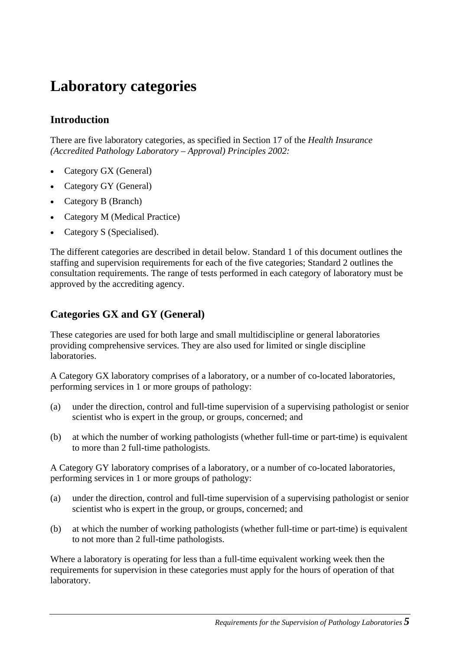### <span id="page-8-0"></span>**Laboratory categories**

### **Introduction**

There are five laboratory categories, as specified in Section 17 of the *Health Insurance (Accredited Pathology Laboratory – Approval) Principles 2002:*

- Category GX (General)
- Category GY (General)
- Category B (Branch)
- Category M (Medical Practice)
- Category S (Specialised).

The different categories are described in detail below. Standard 1 of this document outlines the staffing and supervision requirements for each of the five categories; Standard 2 outlines the consultation requirements. The range of tests performed in each category of laboratory must be approved by the accrediting agency.

### **Categories GX and GY (General)**

These categories are used for both large and small multidiscipline or general laboratories providing comprehensive services. They are also used for limited or single discipline laboratories.

A Category GX laboratory comprises of a laboratory, or a number of co-located laboratories, performing services in 1 or more groups of pathology:

- (a) under the direction, control and full-time supervision of a supervising pathologist or senior scientist who is expert in the group, or groups, concerned; and
- (b) at which the number of working pathologists (whether full-time or part-time) is equivalent to more than 2 full-time pathologists.

A Category GY laboratory comprises of a laboratory, or a number of co-located laboratories, performing services in 1 or more groups of pathology:

- (a) under the direction, control and full-time supervision of a supervising pathologist or senior scientist who is expert in the group, or groups, concerned; and
- (b) at which the number of working pathologists (whether full-time or part-time) is equivalent to not more than 2 full-time pathologists.

Where a laboratory is operating for less than a full-time equivalent working week then the requirements for supervision in these categories must apply for the hours of operation of that laboratory.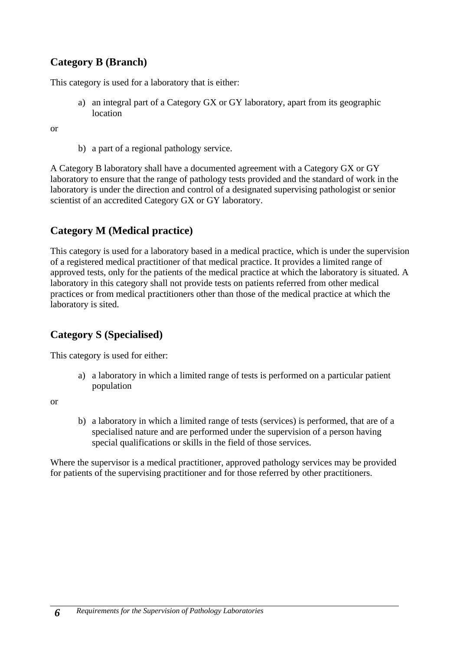### **Category B (Branch)**

This category is used for a laboratory that is either:

a) an integral part of a Category GX or GY laboratory, apart from its geographic location

or

b) a part of a regional pathology service.

A Category B laboratory shall have a documented agreement with a Category GX or GY laboratory to ensure that the range of pathology tests provided and the standard of work in the laboratory is under the direction and control of a designated supervising pathologist or senior scientist of an accredited Category GX or GY laboratory.

### **Category M (Medical practice)**

This category is used for a laboratory based in a medical practice, which is under the supervision of a registered medical practitioner of that medical practice. It provides a limited range of approved tests, only for the patients of the medical practice at which the laboratory is situated. A laboratory in this category shall not provide tests on patients referred from other medical practices or from medical practitioners other than those of the medical practice at which the laboratory is sited.

### **Category S (Specialised)**

This category is used for either:

a) a laboratory in which a limited range of tests is performed on a particular patient population

or

b) a laboratory in which a limited range of tests (services) is performed, that are of a specialised nature and are performed under the supervision of a person having special qualifications or skills in the field of those services.

Where the supervisor is a medical practitioner, approved pathology services may be provided for patients of the supervising practitioner and for those referred by other practitioners.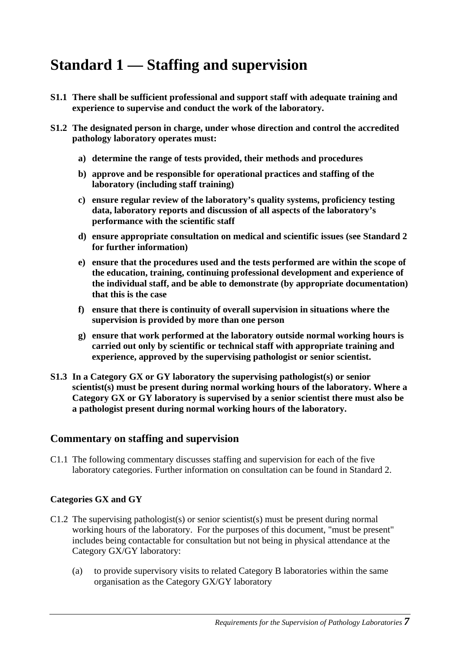## <span id="page-10-0"></span>**Standard 1 — Staffing and supervision**

- **S1.1 There shall be sufficient professional and support staff with adequate training and experience to supervise and conduct the work of the laboratory.**
- **S1.2 The designated person in charge, under whose direction and control the accredited pathology laboratory operates must:**
	- **a) determine the range of tests provided, their methods and procedures**
	- **b) approve and be responsible for operational practices and staffing of the laboratory (including staff training)**
	- **c) ensure regular review of the laboratory's quality systems, proficiency testing data, laboratory reports and discussion of all aspects of the laboratory's performance with the scientific staff**
	- **d) ensure appropriate consultation on medical and scientific issues (see Standard 2 for further information)**
	- **e) ensure that the procedures used and the tests performed are within the scope of the education, training, continuing professional development and experience of the individual staff, and be able to demonstrate (by appropriate documentation) that this is the case**
	- **f) ensure that there is continuity of overall supervision in situations where the supervision is provided by more than one person**
	- **g) ensure that work performed at the laboratory outside normal working hours is carried out only by scientific or technical staff with appropriate training and experience, approved by the supervising pathologist or senior scientist.**
- **S1.3 In a Category GX or GY laboratory the supervising pathologist(s) or senior scientist(s) must be present during normal working hours of the laboratory. Where a Category GX or GY laboratory is supervised by a senior scientist there must also be a pathologist present during normal working hours of the laboratory.**

#### **Commentary on staffing and supervision**

C1.1 The following commentary discusses staffing and supervision for each of the five laboratory categories. Further information on consultation can be found in Standard 2.

#### **Categories GX and GY**

- C1.2 The supervising pathologist(s) or senior scientist(s) must be present during normal working hours of the laboratory. For the purposes of this document, "must be present" includes being contactable for consultation but not being in physical attendance at the Category GX/GY laboratory:
	- (a) to provide supervisory visits to related Category B laboratories within the same organisation as the Category GX/GY laboratory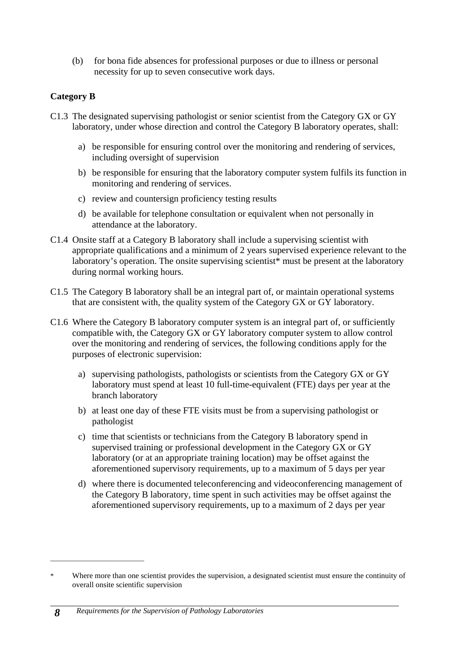(b) for bona fide absences for professional purposes or due to illness or personal necessity for up to seven consecutive work days.

#### **Category B**

- C1.3 The designated supervising pathologist or senior scientist from the Category GX or GY laboratory, under whose direction and control the Category B laboratory operates, shall:
	- a) be responsible for ensuring control over the monitoring and rendering of services, including oversight of supervision
	- b) be responsible for ensuring that the laboratory computer system fulfils its function in monitoring and rendering of services.
	- c) review and countersign proficiency testing results
	- d) be available for telephone consultation or equivalent when not personally in attendance at the laboratory.
- C1.4 Onsite staff at a Category B laboratory shall include a supervising scientist with appropriate qualifications and a minimum of 2 years supervised experience relevant to the laboratory's operation. The onsite supervising scientist<sup>\*</sup> must be present at the laboratory during normal working hours.
- C1.5 The Category B laboratory shall be an integral part of, or maintain operational systems that are consistent with, the quality system of the Category GX or GY laboratory.
- C1.6 Where the Category B laboratory computer system is an integral part of, or sufficiently compatible with, the Category GX or GY laboratory computer system to allow control over the monitoring and rendering of services, the following conditions apply for the purposes of electronic supervision:
	- a) supervising pathologists, pathologists or scientists from the Category GX or GY laboratory must spend at least 10 full-time-equivalent (FTE) days per year at the branch laboratory
	- b) at least one day of these FTE visits must be from a supervising pathologist or pathologist
	- c) time that scientists or technicians from the Category B laboratory spend in supervised training or professional development in the Category GX or GY laboratory (or at an appropriate training location) may be offset against the aforementioned supervisory requirements, up to a maximum of 5 days per year
	- d) where there is documented teleconferencing and videoconferencing management of the Category B laboratory, time spent in such activities may be offset against the aforementioned supervisory requirements, up to a maximum of 2 days per year

\_\_\_\_\_\_\_\_\_\_\_\_\_\_\_\_\_\_\_\_\_\_\_\_\_\_\_

<sup>\*</sup> Where more than one scientist provides the supervision, a designated scientist must ensure the continuity of overall onsite scientific supervision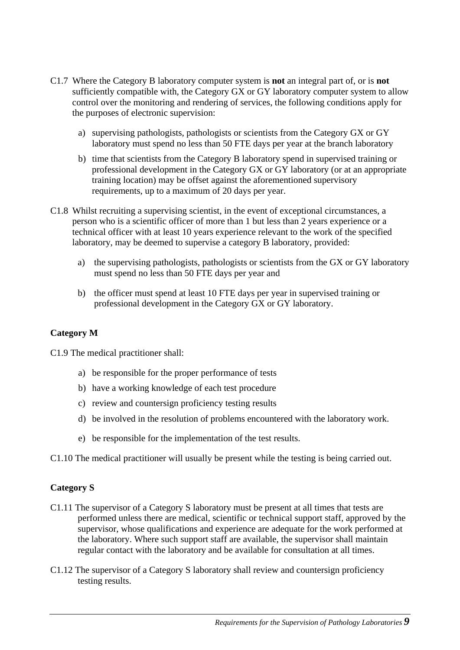- C1.7 Where the Category B laboratory computer system is **not** an integral part of, or is **not** sufficiently compatible with, the Category GX or GY laboratory computer system to allow control over the monitoring and rendering of services, the following conditions apply for the purposes of electronic supervision:
	- a) supervising pathologists, pathologists or scientists from the Category GX or GY laboratory must spend no less than 50 FTE days per year at the branch laboratory
	- b) time that scientists from the Category B laboratory spend in supervised training or professional development in the Category GX or GY laboratory (or at an appropriate training location) may be offset against the aforementioned supervisory requirements, up to a maximum of 20 days per year.
- C1.8 Whilst recruiting a supervising scientist, in the event of exceptional circumstances, a person who is a scientific officer of more than 1 but less than 2 years experience or a technical officer with at least 10 years experience relevant to the work of the specified laboratory, may be deemed to supervise a category B laboratory, provided:
	- a) the supervising pathologists, pathologists or scientists from the GX or GY laboratory must spend no less than 50 FTE days per year and
	- b) the officer must spend at least 10 FTE days per year in supervised training or professional development in the Category GX or GY laboratory.

#### **Category M**

C1.9 The medical practitioner shall:

- a) be responsible for the proper performance of tests
- b) have a working knowledge of each test procedure
- c) review and countersign proficiency testing results
- d) be involved in the resolution of problems encountered with the laboratory work.
- e) be responsible for the implementation of the test results.

C1.10 The medical practitioner will usually be present while the testing is being carried out.

#### **Category S**

- C1.11 The supervisor of a Category S laboratory must be present at all times that tests are performed unless there are medical, scientific or technical support staff, approved by the supervisor, whose qualifications and experience are adequate for the work performed at the laboratory. Where such support staff are available, the supervisor shall maintain regular contact with the laboratory and be available for consultation at all times.
- C1.12 The supervisor of a Category S laboratory shall review and countersign proficiency testing results.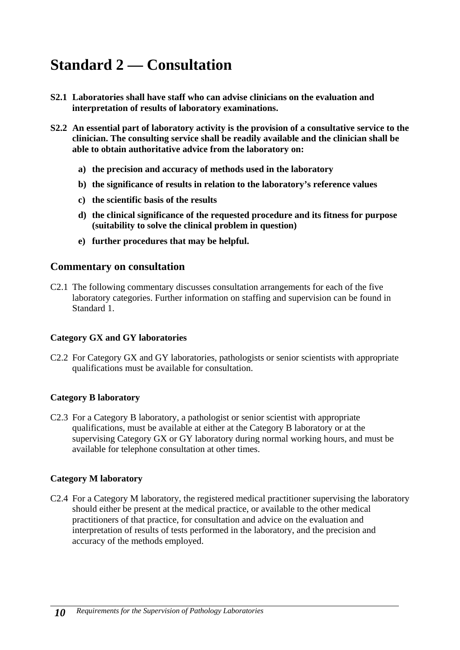## <span id="page-13-0"></span>**Standard 2 — Consultation**

- **S2.1 Laboratories shall have staff who can advise clinicians on the evaluation and interpretation of results of laboratory examinations.**
- **S2.2 An essential part of laboratory activity is the provision of a consultative service to the clinician. The consulting service shall be readily available and the clinician shall be able to obtain authoritative advice from the laboratory on:** 
	- **a) the precision and accuracy of methods used in the laboratory**
	- **b) the significance of results in relation to the laboratory's reference values**
	- **c) the scientific basis of the results**
	- **d) the clinical significance of the requested procedure and its fitness for purpose (suitability to solve the clinical problem in question)**
	- **e) further procedures that may be helpful.**

#### **Commentary on consultation**

C2.1 The following commentary discusses consultation arrangements for each of the five laboratory categories. Further information on staffing and supervision can be found in Standard 1.

#### **Category GX and GY laboratories**

C2.2 For Category GX and GY laboratories, pathologists or senior scientists with appropriate qualifications must be available for consultation.

#### **Category B laboratory**

C2.3 For a Category B laboratory, a pathologist or senior scientist with appropriate qualifications, must be available at either at the Category B laboratory or at the supervising Category GX or GY laboratory during normal working hours, and must be available for telephone consultation at other times.

#### **Category M laboratory**

C2.4 For a Category M laboratory, the registered medical practitioner supervising the laboratory should either be present at the medical practice, or available to the other medical practitioners of that practice, for consultation and advice on the evaluation and interpretation of results of tests performed in the laboratory, and the precision and accuracy of the methods employed.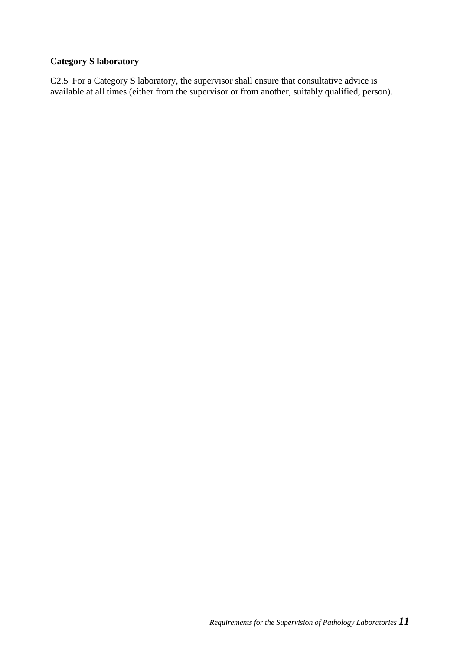#### **Category S laboratory**

C2.5 For a Category S laboratory, the supervisor shall ensure that consultative advice is available at all times (either from the supervisor or from another, suitably qualified, person).